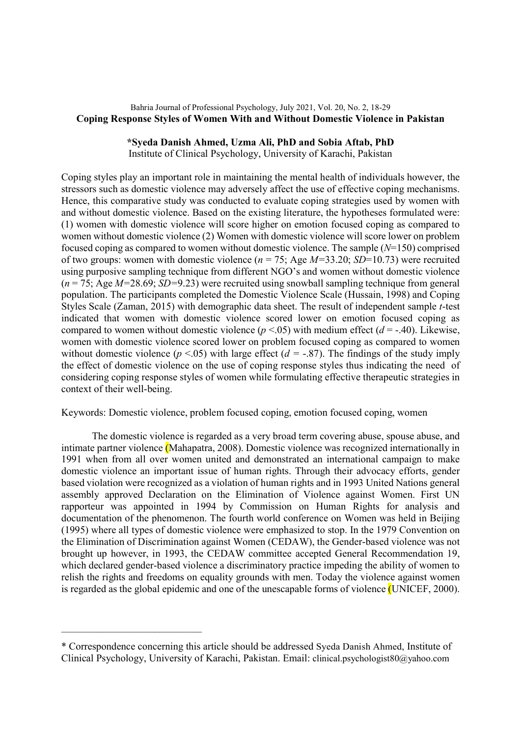# Bahria Journal of Professional Psychology, July 2021, Vol. 20, No. 2, 18-29 Coping Response Styles of Women With and Without Domestic Violence in Pakistan

## \*Syeda Danish Ahmed, Uzma Ali, PhD and Sobia Aftab, PhD

Institute of Clinical Psychology, University of Karachi, Pakistan

Coping styles play an important role in maintaining the mental health of individuals however, the stressors such as domestic violence may adversely affect the use of effective coping mechanisms. Hence, this comparative study was conducted to evaluate coping strategies used by women with and without domestic violence. Based on the existing literature, the hypotheses formulated were: (1) women with domestic violence will score higher on emotion focused coping as compared to women without domestic violence (2) Women with domestic violence will score lower on problem focused coping as compared to women without domestic violence. The sample  $(N=150)$  comprised of two groups: women with domestic violence ( $n = 75$ ; Age  $M=33.20$ ; SD=10.73) were recruited using purposive sampling technique from different NGO's and women without domestic violence  $(n = 75; \text{Age } M = 28.69; SD = 9.23)$  were recruited using snowball sampling technique from general population. The participants completed the Domestic Violence Scale (Hussain, 1998) and Coping Styles Scale (Zaman, 2015) with demographic data sheet. The result of independent sample t-test indicated that women with domestic violence scored lower on emotion focused coping as compared to women without domestic violence ( $p < .05$ ) with medium effect ( $d = .40$ ). Likewise, women with domestic violence scored lower on problem focused coping as compared to women without domestic violence ( $p < .05$ ) with large effect ( $d = -.87$ ). The findings of the study imply the effect of domestic violence on the use of coping response styles thus indicating the need of considering coping response styles of women while formulating effective therapeutic strategies in context of their well-being.

Keywords: Domestic violence, problem focused coping, emotion focused coping, women

The domestic violence is regarded as a very broad term covering abuse, spouse abuse, and intimate partner violence (Mahapatra, 2008). Domestic violence was recognized internationally in 1991 when from all over women united and demonstrated an international campaign to make domestic violence an important issue of human rights. Through their advocacy efforts, gender based violation were recognized as a violation of human rights and in 1993 United Nations general assembly approved Declaration on the Elimination of Violence against Women. First UN rapporteur was appointed in 1994 by Commission on Human Rights for analysis and documentation of the phenomenon. The fourth world conference on Women was held in Beijing (1995) where all types of domestic violence were emphasized to stop. In the 1979 Convention on the Elimination of Discrimination against Women (CEDAW), the Gender-based violence was not brought up however, in 1993, the CEDAW committee accepted General Recommendation 19, which declared gender-based violence a discriminatory practice impeding the ability of women to relish the rights and freedoms on equality grounds with men. Today the violence against women is regarded as the global epidemic and one of the unescapable forms of violence (UNICEF, 2000).

 $\mathcal{L}_\text{max}$ 

<sup>\*</sup> Correspondence concerning this article should be addressed Syeda Danish Ahmed, Institute of Clinical Psychology, University of Karachi, Pakistan. Email: clinical.psychologist80@yahoo.com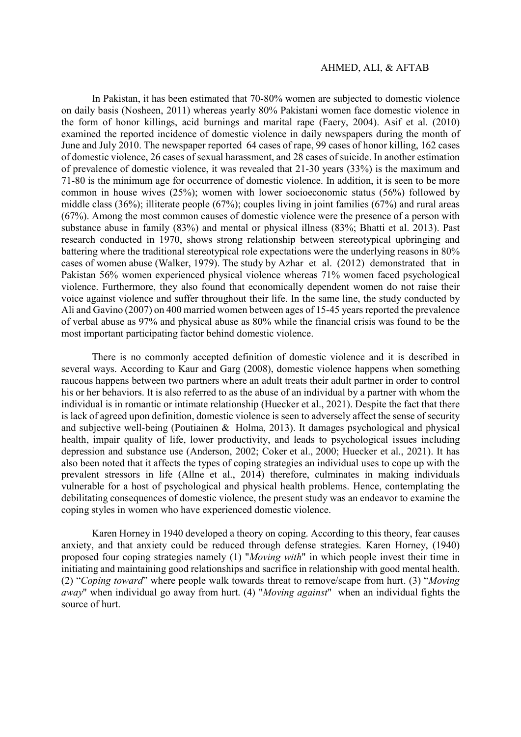In Pakistan, it has been estimated that 70-80% women are subjected to domestic violence on daily basis (Nosheen, 2011) whereas yearly 80% Pakistani women face domestic violence in the form of honor killings, acid burnings and marital rape (Faery, 2004). Asif et al. (2010) examined the reported incidence of domestic violence in daily newspapers during the month of June and July 2010. The newspaper reported 64 cases of rape, 99 cases of honor killing, 162 cases of domestic violence, 26 cases of sexual harassment, and 28 cases of suicide. In another estimation of prevalence of domestic violence, it was revealed that 21-30 years (33%) is the maximum and 71-80 is the minimum age for occurrence of domestic violence. In addition, it is seen to be more common in house wives (25%); women with lower socioeconomic status (56%) followed by middle class (36%); illiterate people (67%); couples living in joint families (67%) and rural areas (67%). Among the most common causes of domestic violence were the presence of a person with substance abuse in family (83%) and mental or physical illness (83%; Bhatti et al. 2013). Past research conducted in 1970, shows strong relationship between stereotypical upbringing and battering where the traditional stereotypical role expectations were the underlying reasons in 80% cases of women abuse (Walker, 1979). The study by Azhar et al. (2012) demonstrated that in Pakistan 56% women experienced physical violence whereas 71% women faced psychological violence. Furthermore, they also found that economically dependent women do not raise their voice against violence and suffer throughout their life. In the same line, the study conducted by Ali and Gavino (2007) on 400 married women between ages of 15-45 years reported the prevalence of verbal abuse as 97% and physical abuse as 80% while the financial crisis was found to be the most important participating factor behind domestic violence.

There is no commonly accepted definition of domestic violence and it is described in several ways. According to Kaur and Garg (2008), domestic violence happens when something raucous happens between two partners where an adult treats their adult partner in order to control his or her behaviors. It is also referred to as the abuse of an individual by a partner with whom the individual is in romantic or intimate relationship (Huecker et al., 2021). Despite the fact that there is lack of agreed upon definition, domestic violence is seen to adversely affect the sense of security and subjective well-being (Poutiainen & Holma, 2013). It damages psychological and physical health, impair quality of life, lower productivity, and leads to psychological issues including depression and substance use (Anderson, 2002; Coker et al., 2000; Huecker et al., 2021). It has also been noted that it affects the types of coping strategies an individual uses to cope up with the prevalent stressors in life (Allne et al., 2014) therefore, culminates in making individuals vulnerable for a host of psychological and physical health problems. Hence, contemplating the debilitating consequences of domestic violence, the present study was an endeavor to examine the coping styles in women who have experienced domestic violence.

Karen Horney in 1940 developed a theory on coping. According to this theory, fear causes anxiety, and that anxiety could be reduced through defense strategies. Karen Horney, (1940) proposed four coping strategies namely (1) "Moving with" in which people invest their time in initiating and maintaining good relationships and sacrifice in relationship with good mental health. (2) "Coping toward" where people walk towards threat to remove/scape from hurt. (3) "Moving away" when individual go away from hurt. (4) "Moving against" when an individual fights the source of hurt.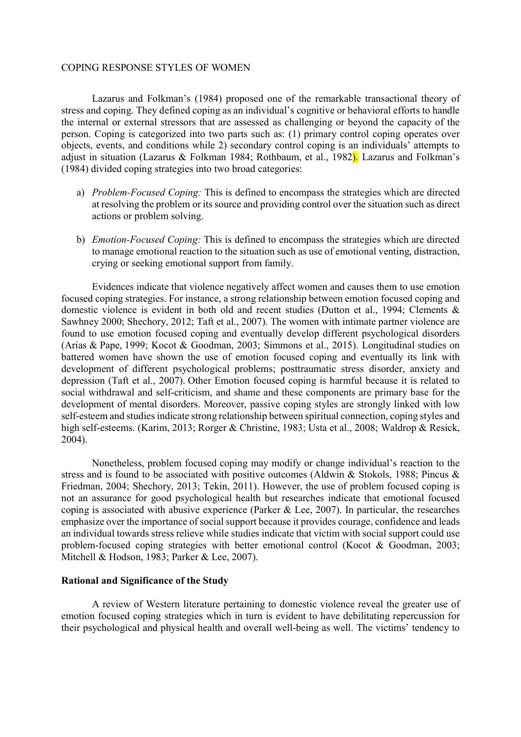Lazarus and Folkman's (1984) proposed one of the remarkable transactional theory of stress and coping. They defined coping as an individual's cognitive or behavioral efforts to handle the internal or external stressors that are assessed as challenging or beyond the capacity of the person. Coping is categorized into two parts such as: (1) primary control coping operates over objects, events, and conditions while 2) secondary control coping is an individuals' attempts to adjust in situation (Lazarus & Folkman 1984; Rothbaum, et al., 1982). Lazarus and Folkman's (1984) divided coping strategies into two broad categories:

- a) Problem-Focused Coping: This is defined to encompass the strategies which are directed at resolving the problem or its source and providing control over the situation such as direct actions or problem solving.
- b) Emotion-Focused Coping: This is defined to encompass the strategies which are directed to manage emotional reaction to the situation such as use of emotional venting, distraction, crying or seeking emotional support from family.

Evidences indicate that violence negatively affect women and causes them to use emotion focused coping strategies. For instance, a strong relationship between emotion focused coping and domestic violence is evident in both old and recent studies (Dutton et al., 1994; Clements & Sawhney 2000; Shechory, 2012; Taft et al., 2007). The women with intimate partner violence are found to use emotion focused coping and eventually develop different psychological disorders (Arias & Pape, 1999; Kocot & Goodman, 2003; Simmons et al., 2015). Longitudinal studies on battered women have shown the use of emotion focused coping and eventually its link with development of different psychological problems; posttraumatic stress disorder, anxiety and depression (Taft et al., 2007). Other Emotion focused coping is harmful because it is related to social withdrawal and self-criticism, and shame and these components are primary base for the development of mental disorders. Moreover, passive coping styles are strongly linked with low self-esteem and studies indicate strong relationship between spiritual connection, coping styles and high self-esteems. (Karim, 2013; Rorger & Christine, 1983; Usta et al., 2008; Waldrop & Resick, 2004).

Nonetheless, problem focused coping may modify or change individual's reaction to the stress and is found to be associated with positive outcomes (Aldwin & Stokols, 1988; Pincus & Friedman, 2004; Shechory, 2013; Tekin, 2011). However, the use of problem focused coping is not an assurance for good psychological health but researches indicate that emotional focused coping is associated with abusive experience (Parker & Lee, 2007). In particular, the researches emphasize over the importance of social support because it provides courage, confidence and leads an individual towards stress relieve while studies indicate that victim with social support could use problem-focused coping strategies with better emotional control (Kocot & Goodman, 2003; Mitchell & Hodson, 1983; Parker & Lee, 2007).

# Rational and Significance of the Study

A review of Western literature pertaining to domestic violence reveal the greater use of emotion focused coping strategies which in turn is evident to have debilitating repercussion for their psychological and physical health and overall well-being as well. The victims' tendency to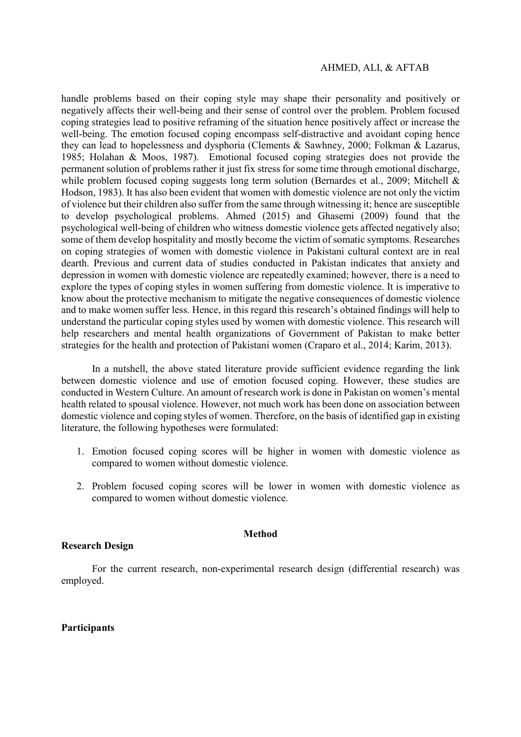handle problems based on their coping style may shape their personality and positively or negatively affects their well-being and their sense of control over the problem. Problem focused coping strategies lead to positive reframing of the situation hence positively affect or increase the well-being. The emotion focused coping encompass self-distractive and avoidant coping hence they can lead to hopelessness and dysphoria (Clements & Sawhney, 2000; Folkman & Lazarus, 1985; Holahan & Moos, 1987). Emotional focused coping strategies does not provide the permanent solution of problems rather it just fix stress for some time through emotional discharge, while problem focused coping suggests long term solution (Bernardes et al., 2009; Mitchell & Hodson, 1983). It has also been evident that women with domestic violence are not only the victim of violence but their children also suffer from the same through witnessing it; hence are susceptible to develop psychological problems. Ahmed (2015) and Ghasemi (2009) found that the psychological well-being of children who witness domestic violence gets affected negatively also; some of them develop hospitality and mostly become the victim of somatic symptoms. Researches on coping strategies of women with domestic violence in Pakistani cultural context are in real dearth. Previous and current data of studies conducted in Pakistan indicates that anxiety and depression in women with domestic violence are repeatedly examined; however, there is a need to explore the types of coping styles in women suffering from domestic violence. It is imperative to know about the protective mechanism to mitigate the negative consequences of domestic violence and to make women suffer less. Hence, in this regard this research's obtained findings will help to understand the particular coping styles used by women with domestic violence. This research will help researchers and mental health organizations of Government of Pakistan to make better strategies for the health and protection of Pakistani women (Craparo et al., 2014; Karim, 2013).

In a nutshell, the above stated literature provide sufficient evidence regarding the link between domestic violence and use of emotion focused coping. However, these studies are conducted in Western Culture. An amount of research work is done in Pakistan on women's mental health related to spousal violence. However, not much work has been done on association between domestic violence and coping styles of women. Therefore, on the basis of identified gap in existing literature, the following hypotheses were formulated:

- 1. Emotion focused coping scores will be higher in women with domestic violence as compared to women without domestic violence.
- 2. Problem focused coping scores will be lower in women with domestic violence as compared to women without domestic violence.

### Method

# Research Design

For the current research, non-experimental research design (differential research) was employed.

# **Participants**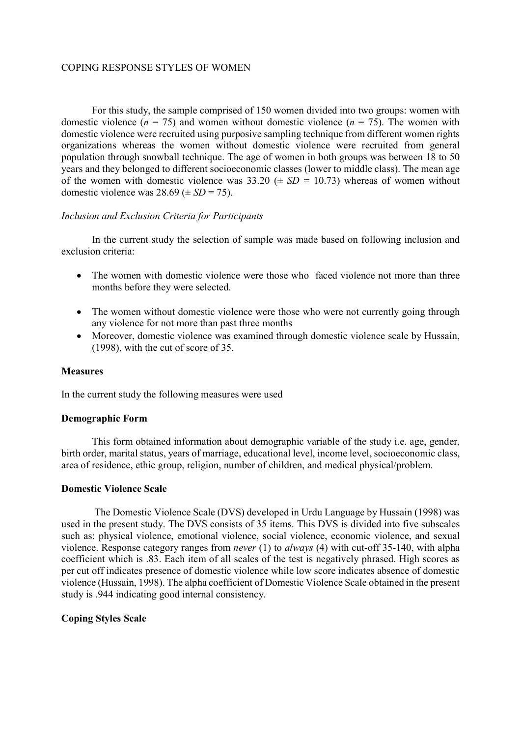For this study, the sample comprised of 150 women divided into two groups: women with domestic violence ( $n = 75$ ) and women without domestic violence ( $n = 75$ ). The women with domestic violence were recruited using purposive sampling technique from different women rights organizations whereas the women without domestic violence were recruited from general population through snowball technique. The age of women in both groups was between 18 to 50 years and they belonged to different socioeconomic classes (lower to middle class). The mean age of the women with domestic violence was  $33.20 \ (\pm \ SD = 10.73)$  whereas of women without domestic violence was  $28.69 \ (\pm \text{SD} = 75)$ .

# Inclusion and Exclusion Criteria for Participants

In the current study the selection of sample was made based on following inclusion and exclusion criteria:

- The women with domestic violence were those who faced violence not more than three months before they were selected.
- The women without domestic violence were those who were not currently going through any violence for not more than past three months
- Moreover, domestic violence was examined through domestic violence scale by Hussain, (1998), with the cut of score of 35.

# **Measures**

In the current study the following measures were used

# Demographic Form

 This form obtained information about demographic variable of the study i.e. age, gender, birth order, marital status, years of marriage, educational level, income level, socioeconomic class, area of residence, ethic group, religion, number of children, and medical physical/problem.

# Domestic Violence Scale

 The Domestic Violence Scale (DVS) developed in Urdu Language by Hussain (1998) was used in the present study. The DVS consists of 35 items. This DVS is divided into five subscales such as: physical violence, emotional violence, social violence, economic violence, and sexual violence. Response category ranges from never (1) to always (4) with cut-off 35-140, with alpha coefficient which is .83. Each item of all scales of the test is negatively phrased. High scores as per cut off indicates presence of domestic violence while low score indicates absence of domestic violence (Hussain, 1998). The alpha coefficient of Domestic Violence Scale obtained in the present study is .944 indicating good internal consistency.

# Coping Styles Scale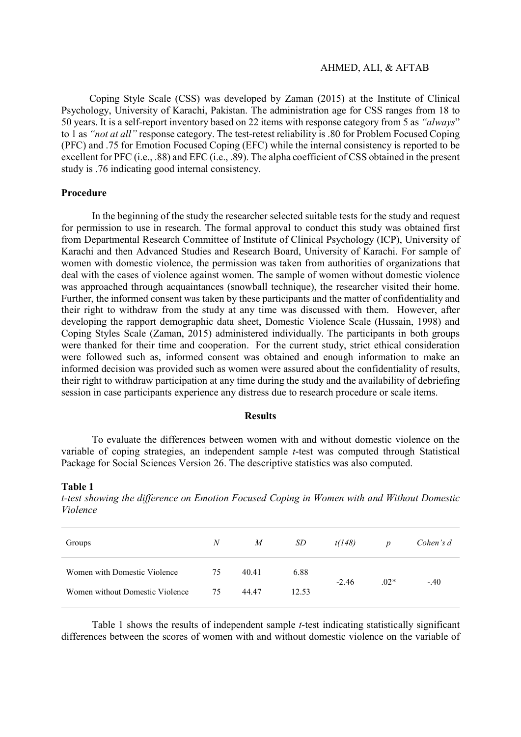Coping Style Scale (CSS) was developed by Zaman (2015) at the Institute of Clinical Psychology, University of Karachi, Pakistan. The administration age for CSS ranges from 18 to 50 years. It is a self-report inventory based on 22 items with response category from 5 as "always" to 1 as "not at all" response category. The test-retest reliability is .80 for Problem Focused Coping (PFC) and .75 for Emotion Focused Coping (EFC) while the internal consistency is reported to be excellent for PFC (i.e., .88) and EFC (i.e., .89). The alpha coefficient of CSS obtained in the present study is .76 indicating good internal consistency.

## Procedure

 In the beginning of the study the researcher selected suitable tests for the study and request for permission to use in research. The formal approval to conduct this study was obtained first from Departmental Research Committee of Institute of Clinical Psychology (ICP), University of Karachi and then Advanced Studies and Research Board, University of Karachi. For sample of women with domestic violence, the permission was taken from authorities of organizations that deal with the cases of violence against women. The sample of women without domestic violence was approached through acquaintances (snowball technique), the researcher visited their home. Further, the informed consent was taken by these participants and the matter of confidentiality and their right to withdraw from the study at any time was discussed with them. However, after developing the rapport demographic data sheet, Domestic Violence Scale (Hussain, 1998) and Coping Styles Scale (Zaman, 2015) administered individually. The participants in both groups were thanked for their time and cooperation. For the current study, strict ethical consideration were followed such as, informed consent was obtained and enough information to make an informed decision was provided such as women were assured about the confidentiality of results, their right to withdraw participation at any time during the study and the availability of debriefing session in case participants experience any distress due to research procedure or scale items.

#### Results

To evaluate the differences between women with and without domestic violence on the variable of coping strategies, an independent sample t-test was computed through Statistical Package for Social Sciences Version 26. The descriptive statistics was also computed.

#### Table 1

t-test showing the difference on Emotion Focused Coping in Women with and Without Domestic Violence

| Groups                          | $\boldsymbol{N}$ | M     | SD    | t(148)  | $\boldsymbol{p}$ | Cohen's d |
|---------------------------------|------------------|-------|-------|---------|------------------|-----------|
| Women with Domestic Violence    | 75               | 40.41 | 6.88  | $-2.46$ | $.02*$           | $-.40$    |
| Women without Domestic Violence | 75               | 44.47 | 12.53 |         |                  |           |

Table 1 shows the results of independent sample t-test indicating statistically significant differences between the scores of women with and without domestic violence on the variable of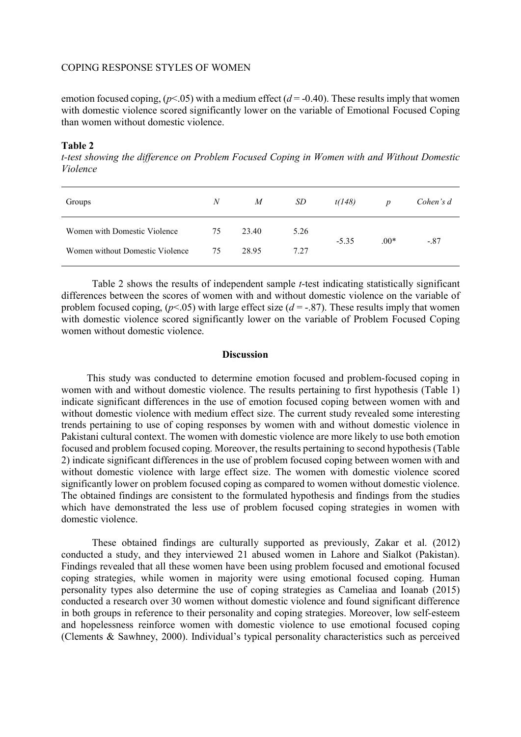emotion focused coping,  $(p<0.05)$  with a medium effect ( $d = -0.40$ ). These results imply that women with domestic violence scored significantly lower on the variable of Emotional Focused Coping than women without domestic violence.

## Table 2

t-test showing the difference on Problem Focused Coping in Women with and Without Domestic Violence

| Groups                          | $\boldsymbol{N}$ | M     | SD   | t(148)  | $\boldsymbol{p}$ | Cohen's d |
|---------------------------------|------------------|-------|------|---------|------------------|-----------|
| Women with Domestic Violence    | 75               | 23.40 | 5.26 | $-5.35$ | $.00*$           | $-.87$    |
| Women without Domestic Violence | 75               | 28.95 | 7.27 |         |                  |           |

Table 2 shows the results of independent sample t-test indicating statistically significant differences between the scores of women with and without domestic violence on the variable of problem focused coping,  $(p<.05)$  with large effect size  $(d = -.87)$ . These results imply that women with domestic violence scored significantly lower on the variable of Problem Focused Coping women without domestic violence.

### **Discussion**

 This study was conducted to determine emotion focused and problem-focused coping in women with and without domestic violence. The results pertaining to first hypothesis (Table 1) indicate significant differences in the use of emotion focused coping between women with and without domestic violence with medium effect size. The current study revealed some interesting trends pertaining to use of coping responses by women with and without domestic violence in Pakistani cultural context. The women with domestic violence are more likely to use both emotion focused and problem focused coping. Moreover, the results pertaining to second hypothesis (Table 2) indicate significant differences in the use of problem focused coping between women with and without domestic violence with large effect size. The women with domestic violence scored significantly lower on problem focused coping as compared to women without domestic violence. The obtained findings are consistent to the formulated hypothesis and findings from the studies which have demonstrated the less use of problem focused coping strategies in women with domestic violence.

These obtained findings are culturally supported as previously, Zakar et al. (2012) conducted a study, and they interviewed 21 abused women in Lahore and Sialkot (Pakistan). Findings revealed that all these women have been using problem focused and emotional focused coping strategies, while women in majority were using emotional focused coping. Human personality types also determine the use of coping strategies as Cameliaa and Ioanab (2015) conducted a research over 30 women without domestic violence and found significant difference in both groups in reference to their personality and coping strategies. Moreover, low self-esteem and hopelessness reinforce women with domestic violence to use emotional focused coping (Clements & Sawhney, 2000). Individual's typical personality characteristics such as perceived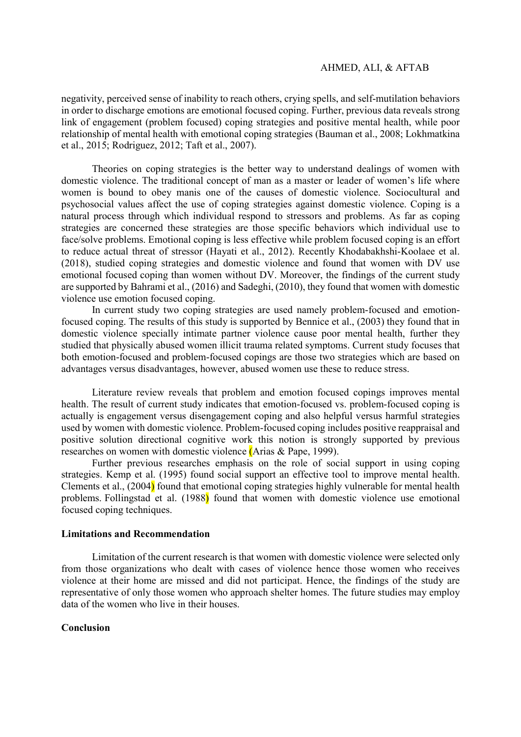negativity, perceived sense of inability to reach others, crying spells, and self-mutilation behaviors in order to discharge emotions are emotional focused coping. Further, previous data reveals strong link of engagement (problem focused) coping strategies and positive mental health, while poor relationship of mental health with emotional coping strategies (Bauman et al., 2008; Lokhmatkina et al., 2015; Rodriguez, 2012; Taft et al., 2007).

Theories on coping strategies is the better way to understand dealings of women with domestic violence. The traditional concept of man as a master or leader of women's life where women is bound to obey manis one of the causes of domestic violence. Sociocultural and psychosocial values affect the use of coping strategies against domestic violence. Coping is a natural process through which individual respond to stressors and problems. As far as coping strategies are concerned these strategies are those specific behaviors which individual use to face/solve problems. Emotional coping is less effective while problem focused coping is an effort to reduce actual threat of stressor (Hayati et al., 2012). Recently Khodabakhshi-Koolaee et al. (2018), studied coping strategies and domestic violence and found that women with DV use emotional focused coping than women without DV. Moreover, the findings of the current study are supported by Bahrami et al., (2016) and Sadeghi, (2010), they found that women with domestic violence use emotion focused coping.

In current study two coping strategies are used namely problem-focused and emotionfocused coping. The results of this study is supported by Bennice et al., (2003) they found that in domestic violence specially intimate partner violence cause poor mental health, further they studied that physically abused women illicit trauma related symptoms. Current study focuses that both emotion-focused and problem-focused copings are those two strategies which are based on advantages versus disadvantages, however, abused women use these to reduce stress.

Literature review reveals that problem and emotion focused copings improves mental health. The result of current study indicates that emotion-focused vs. problem-focused coping is actually is engagement versus disengagement coping and also helpful versus harmful strategies used by women with domestic violence. Problem-focused coping includes positive reappraisal and positive solution directional cognitive work this notion is strongly supported by previous researches on women with domestic violence (Arias & Pape, 1999).

Further previous researches emphasis on the role of social support in using coping strategies. Kemp et al. (1995) found social support an effective tool to improve mental health. Clements et al., (2004) found that emotional coping strategies highly vulnerable for mental health problems. Follingstad et al. (1988) found that women with domestic violence use emotional focused coping techniques.

### Limitations and Recommendation

Limitation of the current research is that women with domestic violence were selected only from those organizations who dealt with cases of violence hence those women who receives violence at their home are missed and did not participat. Hence, the findings of the study are representative of only those women who approach shelter homes. The future studies may employ data of the women who live in their houses.

## Conclusion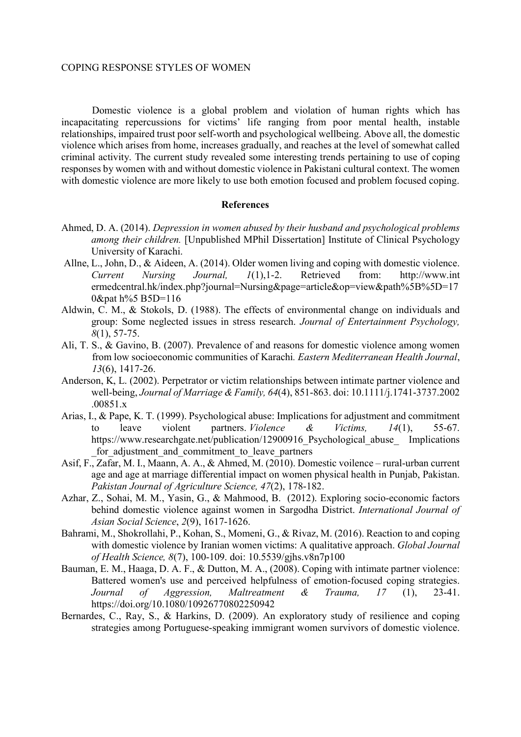Domestic violence is a global problem and violation of human rights which has incapacitating repercussions for victims' life ranging from poor mental health, instable relationships, impaired trust poor self-worth and psychological wellbeing. Above all, the domestic violence which arises from home, increases gradually, and reaches at the level of somewhat called criminal activity. The current study revealed some interesting trends pertaining to use of coping responses by women with and without domestic violence in Pakistani cultural context. The women with domestic violence are more likely to use both emotion focused and problem focused coping.

#### References

- Ahmed, D. A. (2014). Depression in women abused by their husband and psychological problems among their children. [Unpublished MPhil Dissertation] Institute of Clinical Psychology University of Karachi.
- Allne, L., John, D., & Aideen, A. (2014). Older women living and coping with domestic violence. Current Nursing Journal, 1(1),1-2. Retrieved from: http://www.int ermedcentral.hk/index.php?journal=Nursing&page=article&op=view&path%5B%5D=17 0&pat h%5 B5D=116
- Aldwin, C. M., & Stokols, D. (1988). The effects of environmental change on individuals and group: Some neglected issues in stress research. Journal of Entertainment Psychology, 8(1), 57-75.
- Ali, T. S., & Gavino, B. (2007). Prevalence of and reasons for domestic violence among women from low socioeconomic communities of Karachi. Eastern Mediterranean Health Journal, 13(6), 1417-26.
- Anderson, K, L. (2002). Perpetrator or victim relationships between intimate partner violence and well-being, Journal of Marriage & Family, 64(4), 851-863. doi: 10.1111/j.1741-3737.2002 .00851.x
- Arias, I., & Pape, K. T. (1999). Psychological abuse: Implications for adjustment and commitment to leave violent partners. Violence & Victims, 14(1), 55-67. https://www.researchgate.net/publication/12900916 Psychological abuse Implications for adjustment and commitment to leave partners
- Asif, F., Zafar, M. I., Maann, A. A., & Ahmed, M. (2010). Domestic voilence rural-urban current age and age at marriage differential impact on women physical health in Punjab, Pakistan. Pakistan Journal of Agriculture Science, 47(2), 178-182.
- Azhar, Z., Sohai, M. M., Yasin, G., & Mahmood, B. (2012). Exploring socio-economic factors behind domestic violence against women in Sargodha District. International Journal of Asian Social Science, 2(9), 1617-1626.
- Bahrami, M., Shokrollahi, P., Kohan, S., Momeni, G., & Rivaz, M. (2016). Reaction to and coping with domestic violence by Iranian women victims: A qualitative approach. *Global Journal* of Health Science, 8(7), 100-109. doi: 10.5539/gjhs.v8n7p100
- Bauman, E. M., Haaga, D. A. F., & Dutton, M. A., (2008). Coping with intimate partner violence: Battered women's use and perceived helpfulness of emotion-focused coping strategies. Journal of Aggression, Maltreatment & Trauma, 17 (1), 23-41. https://doi.org/10.1080/10926770802250942
- Bernardes, C., Ray, S., & Harkins, D. (2009). An exploratory study of resilience and coping strategies among Portuguese-speaking immigrant women survivors of domestic violence.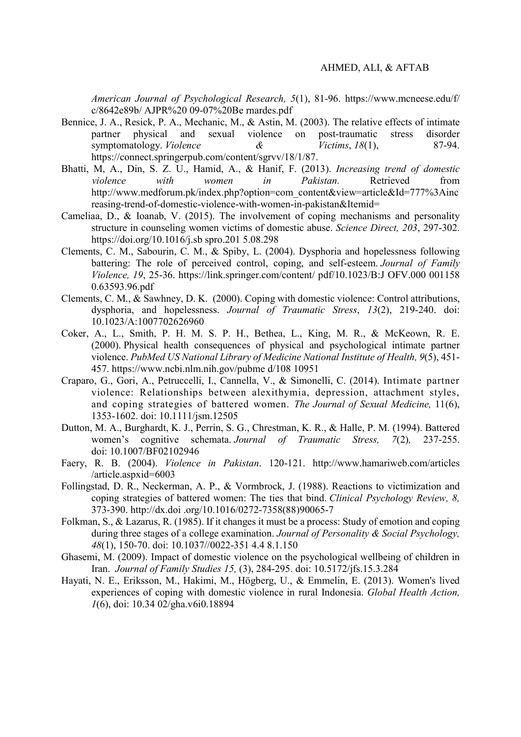American Journal of Psychological Research, 5(1), 81-96. https://www.mcneese.edu/f/ c/8642e89b/ AJPR%20 09-07%20Be rnardes.pdf

- Bennice, J. A., Resick, P. A., Mechanic, M., & Astin, M. (2003). The relative effects of intimate partner physical and sexual violence on post-traumatic stress disorder symptomatology. *Violence* & *Victims*, 18(1), 87-94. https://connect.springerpub.com/content/sgrvv/18/1/87.
- Bhatti, M, A., Din, S. Z. U., Hamid, A., & Hanif, F. (2013). Increasing trend of domestic violence with women in Pakistan. Retrieved from http://www.medforum.pk/index.php?option=com\_content&view=article&Id=777%3Ainc reasing-trend-of-domestic-violence-with-women-in-pakistan&Itemid=
- Cameliaa, D., & Ioanab, V. (2015). The involvement of coping mechanisms and personality structure in counseling women victims of domestic abuse. Science Direct, 203, 297-302. https://doi.org/10.1016/j.sb spro.201 5.08.298
- Clements, C. M., Sabourin, C. M., & Spiby, L. (2004). Dysphoria and hopelessness following battering: The role of perceived control, coping, and self-esteem. Journal of Family Violence, 19, 25-36. https://link.springer.com/content/ pdf/10.1023/B:J OFV.000 001158 0.63593.96.pdf
- Clements, C. M., & Sawhney, D. K. (2000). Coping with domestic violence: Control attributions, dysphoria, and hopelessness. Journal of Traumatic Stress, 13(2), 219-240. doi: 10.1023/A:1007702626960
- Coker, A., L., Smith, P. H. M. S. P. H., Bethea, L., King, M. R., & McKeown, R. E. (2000). Physical health consequences of physical and psychological intimate partner violence. PubMed US National Library of Medicine National Institute of Health, 9(5), 451- 457. https://www.ncbi.nlm.nih.gov/pubme d/108 10951
- Craparo, G., Gori, A., Petruccelli, I., Cannella, V., & Simonelli, C. (2014). Intimate partner violence: Relationships between alexithymia, depression, attachment styles, and coping strategies of battered women. The Journal of Sexual Medicine, 11(6), 1353-1602. doi: 10.1111/jsm.12505
- Dutton, M. A., Burghardt, K. J., Perrin, S. G., Chrestman, K. R., & Halle, P. M. (1994). Battered women's cognitive schemata. Journal of Traumatic Stress, 7(2), 237-255. doi: 10.1007/BF02102946
- Faery, R. B. (2004). Violence in Pakistan. 120-121. http://www.hamariweb.com/articles /article.aspxid=6003
- Follingstad, D. R., Neckerman, A. P., & Vormbrock, J. (1988). Reactions to victimization and coping strategies of battered women: The ties that bind. Clinical Psychology Review, 8, 373-390. http://dx.doi .org/10.1016/0272-7358(88)90065-7
- Folkman, S., & Lazarus, R. (1985). If it changes it must be a process: Study of emotion and coping during three stages of a college examination. Journal of Personality  $\&$  Social Psychology, 48(1), 150-70. doi: 10.1037//0022-351 4.4 8.1.150
- Ghasemi, M. (2009). Impact of domestic violence on the psychological wellbeing of children in Iran. Journal of Family Studies 15, (3), 284-295. doi: 10.5172/jfs.15.3.284
- Hayati, N. E., Eriksson, M., Hakimi, M., Högberg, U., & Emmelin, E. (2013). Women's lived experiences of coping with domestic violence in rural Indonesia. Global Health Action, 1(6), doi: 10.34 02/gha.v6i0.18894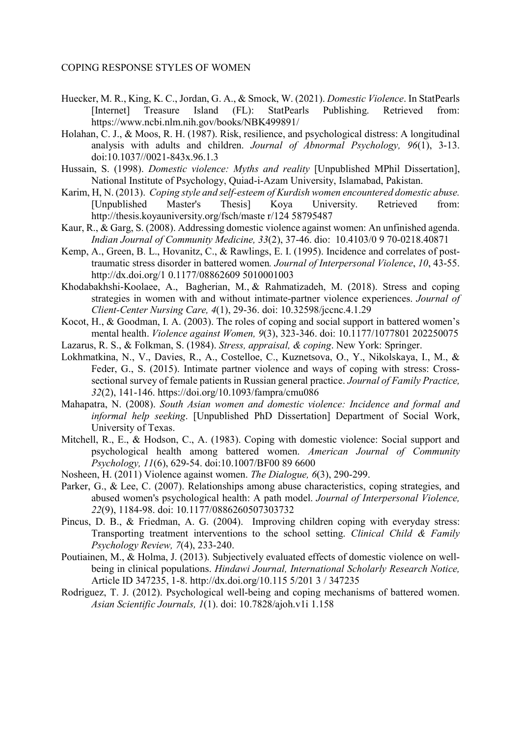- Huecker, M. R., King, K. C., Jordan, G. A., & Smock, W. (2021). Domestic Violence. In StatPearls [Internet] Treasure Island (FL): StatPearls Publishing. Retrieved from: https://www.ncbi.nlm.nih.gov/books/NBK499891/
- Holahan, C. J., & Moos, R. H. (1987). Risk, resilience, and psychological distress: A longitudinal analysis with adults and children. Journal of Abnormal Psychology, 96(1), 3-13. doi:10.1037//0021-843x.96.1.3
- Hussain, S. (1998). Domestic violence: Myths and reality [Unpublished MPhil Dissertation], National Institute of Psychology, Quiad-i-Azam University, Islamabad, Pakistan.
- Karim, H, N. (2013). Coping style and self-esteem of Kurdish women encountered domestic abuse. [Unpublished Master's Thesis] Koya University. Retrieved from: http://thesis.koyauniversity.org/fsch/maste r/124 58795487
- Kaur, R., & Garg, S. (2008). Addressing domestic violence against women: An unfinished agenda. Indian Journal of Community Medicine, 33(2), 37-46. dio: 10.4103/0 9 70-0218.40871
- Kemp, A., Green, B. L., Hovanitz, C., & Rawlings, E. I. (1995). Incidence and correlates of posttraumatic stress disorder in battered women. Journal of Interpersonal Violence, 10, 43-55. http://dx.doi.org/1 0.1177/08862609 5010001003
- Khodabakhshi-Koolaee, A., Bagherian, M., & Rahmatizadeh, M. (2018). Stress and coping strategies in women with and without intimate-partner violence experiences. Journal of Client-Center Nursing Care, 4(1), 29-36. doi: 10.32598/jccnc.4.1.29
- Kocot, H., & Goodman, I. A. (2003). The roles of coping and social support in battered women's mental health. Violence against Women, 9(3), 323-346. doi: 10.1177/1077801 202250075
- Lazarus, R. S., & Folkman, S. (1984). Stress, appraisal, & coping. New York: Springer.
- Lokhmatkina, N., V., Davies, R., A., Costelloe, C., Kuznetsova, O., Y., Nikolskaya, I., M., & Feder, G., S. (2015). Intimate partner violence and ways of coping with stress: Crosssectional survey of female patients in Russian general practice. Journal of Family Practice, 32(2), 141-146. https://doi.org/10.1093/fampra/cmu086
- Mahapatra, N. (2008). South Asian women and domestic violence: Incidence and formal and informal help seeking. [Unpublished PhD Dissertation] Department of Social Work, University of Texas.
- Mitchell, R., E., & Hodson, C., A. (1983). Coping with domestic violence: Social support and psychological health among battered women. American Journal of Community Psychology, 11(6), 629-54. doi:10.1007/BF00 89 6600
- Nosheen, H. (2011) Violence against women. The Dialogue, 6(3), 290-299.
- Parker, G., & Lee, C. (2007). Relationships among abuse characteristics, coping strategies, and abused women's psychological health: A path model. Journal of Interpersonal Violence, 22(9), 1184-98. doi: 10.1177/0886260507303732
- Pincus, D. B., & Friedman, A. G. (2004). Improving children coping with everyday stress: Transporting treatment interventions to the school setting. Clinical Child  $\&$  Family Psychology Review, 7(4), 233-240.
- Poutiainen, M., & Holma, J. (2013). Subjectively evaluated effects of domestic violence on wellbeing in clinical populations. Hindawi Journal, International Scholarly Research Notice, Article ID 347235, 1-8. http://dx.doi.org/10.115 5/201 3 / 347235
- Rodriguez, T. J. (2012). Psychological well-being and coping mechanisms of battered women. Asian Scientific Journals, 1(1). doi: 10.7828/ajoh.v1i 1.158